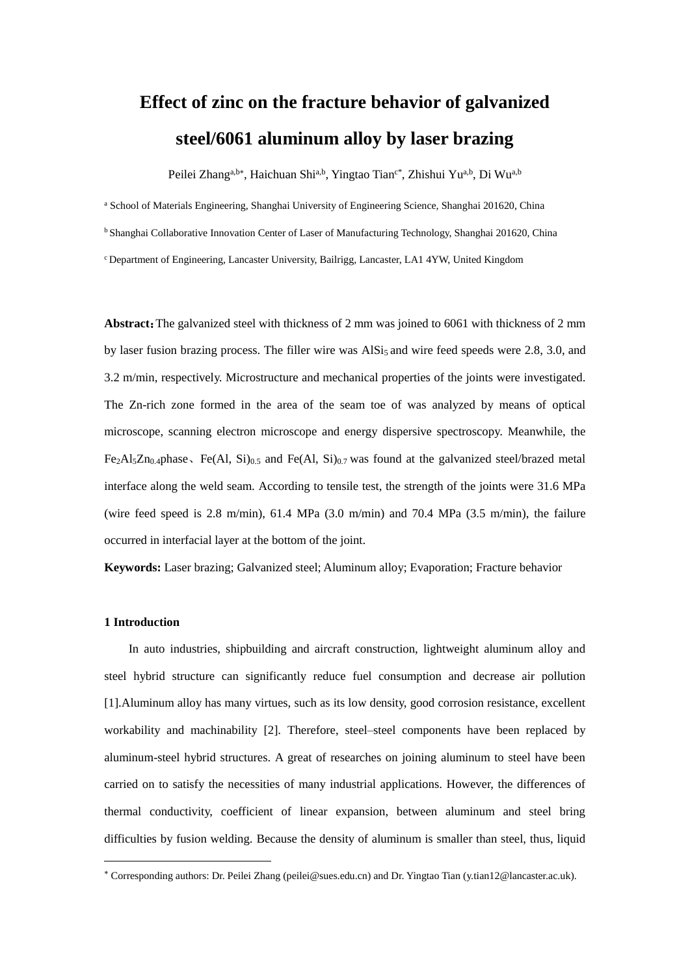# **Effect of zinc on the fracture behavior of galvanized steel/6061 aluminum alloy by laser brazing**

Peilei Zhang<sup>a,b\*</sup>, Haichuan Shi<sup>a,b</sup>, Yingtao Tian<sup>c\*</sup>, Zhishui Yu<sup>a,b</sup>, Di Wu<sup>a,b</sup>

<sup>a</sup> School of Materials Engineering, Shanghai University of Engineering Science, Shanghai 201620, China

<sup>b</sup> Shanghai Collaborative Innovation Center of Laser of Manufacturing Technology, Shanghai 201620, China

<sup>c</sup>Department of Engineering, Lancaster University, Bailrigg, Lancaster, LA1 4YW, United Kingdom

**Abstract**:The galvanized steel with thickness of 2 mm was joined to 6061 with thickness of 2 mm by laser fusion brazing process. The filler wire was AlSi<sub>5</sub> and wire feed speeds were 2.8, 3.0, and 3.2 m/min, respectively. Microstructure and mechanical properties of the joints were investigated. The Zn-rich zone formed in the area of the seam toe of was analyzed by means of optical microscope, scanning electron microscope and energy dispersive spectroscopy. Meanwhile, the Fe<sub>2</sub>Al<sub>5</sub>Zn<sub>0.4</sub>phase, Fe(Al, Si)<sub>0.5</sub> and Fe(Al, Si)<sub>0.7</sub> was found at the galvanized steel/brazed metal interface along the weld seam. According to tensile test, the strength of the joints were 31.6 MPa (wire feed speed is 2.8 m/min), 61.4 MPa (3.0 m/min) and 70.4 MPa (3.5 m/min), the failure occurred in interfacial layer at the bottom of the joint.

**Keywords:** Laser brazing; Galvanized steel; Aluminum alloy; Evaporation; Fracture behavior

## **1 Introduction**

-

In auto industries, shipbuilding and aircraft construction, lightweight aluminum alloy and steel hybrid structure can significantly reduce fuel consumption and decrease air pollution [1].Aluminum alloy has many virtues, such as its low density, good corrosion resistance, excellent workability and machinability [2]. Therefore, steel–steel components have been replaced by aluminum-steel hybrid structures. A great of researches on joining aluminum to steel have been carried on to satisfy the necessities of many industrial applications. However, the differences of thermal conductivity, coefficient of linear expansion, between aluminum and steel bring difficulties by fusion welding. Because the density of aluminum is smaller than steel, thus, liquid

Corresponding authors: Dr. Peilei Zhang (peilei@sues.edu.cn) and Dr. Yingtao Tian (y.tian12@lancaster.ac.uk).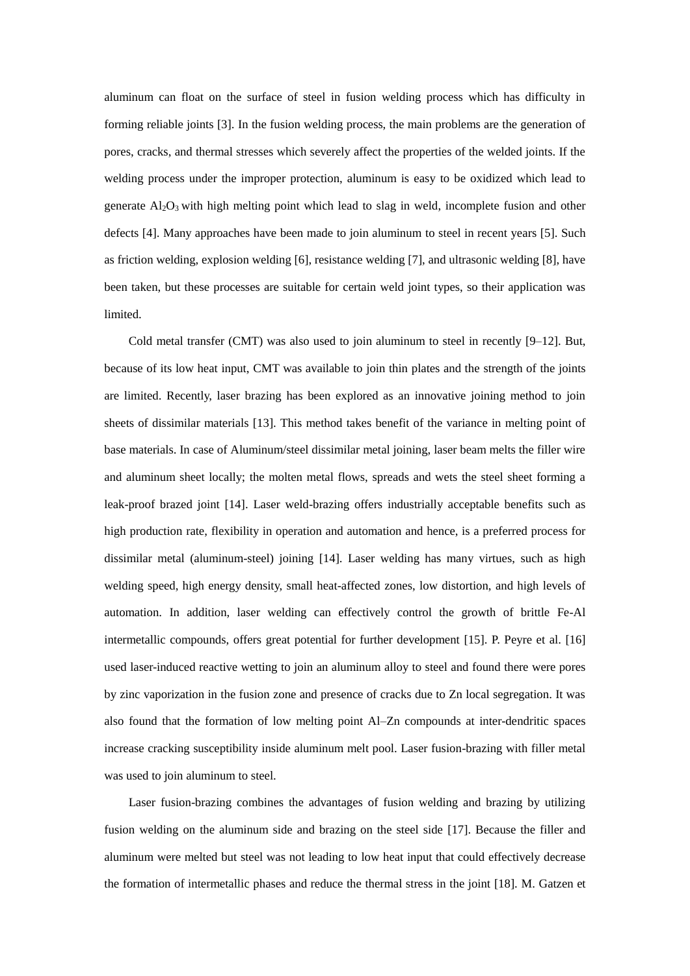aluminum can float on the surface of steel in fusion welding process which has difficulty in forming reliable joints [3]. In the fusion welding process, the main problems are the generation of pores, cracks, and thermal stresses which severely affect the properties of the welded joints. If the welding process under the improper protection, aluminum is easy to be oxidized which lead to generate Al2O<sup>3</sup> with high melting point which lead to slag in weld, incomplete fusion and other defects [4]. Many approaches have been made to join aluminum to steel in recent years [5]. Such as friction welding, explosion welding [6], resistance welding [7], and ultrasonic welding [8], have been taken, but these processes are suitable for certain weld joint types, so their application was limited.

Cold metal transfer (CMT) was also used to join aluminum to steel in recently [9–12]. But, because of its low heat input, CMT was available to join thin plates and the strength of the joints are limited. Recently, laser brazing has been explored as an innovative joining method to join sheets of dissimilar materials [13]. This method takes benefit of the variance in melting point of base materials. In case of Aluminum/steel dissimilar metal joining, laser beam melts the filler wire and aluminum sheet locally; the molten metal flows, spreads and wets the steel sheet forming a leak-proof brazed joint [14]. Laser weld-brazing offers industrially acceptable benefits such as high production rate, flexibility in operation and automation and hence, is a preferred process for dissimilar metal (aluminum-steel) joining [14]. Laser welding has many virtues, such as high welding speed, high energy density, small heat-affected zones, low distortion, and high levels of automation. In addition, laser welding can effectively control the growth of brittle Fe-Al intermetallic compounds, offers great potential for further development [15]. P. Peyre et al. [16] used laser-induced reactive wetting to join an aluminum alloy to steel and found there were pores by zinc vaporization in the fusion zone and presence of cracks due to Zn local segregation. It was also found that the formation of low melting point Al–Zn compounds at inter-dendritic spaces increase cracking susceptibility inside aluminum melt pool. Laser fusion-brazing with filler metal was used to join aluminum to steel.

Laser fusion-brazing combines the advantages of fusion welding and brazing by utilizing fusion welding on the aluminum side and brazing on the steel side [17]. Because the filler and aluminum were melted but steel was not leading to low heat input that could effectively decrease the formation of intermetallic phases and reduce the thermal stress in the joint [18]. M. Gatzen et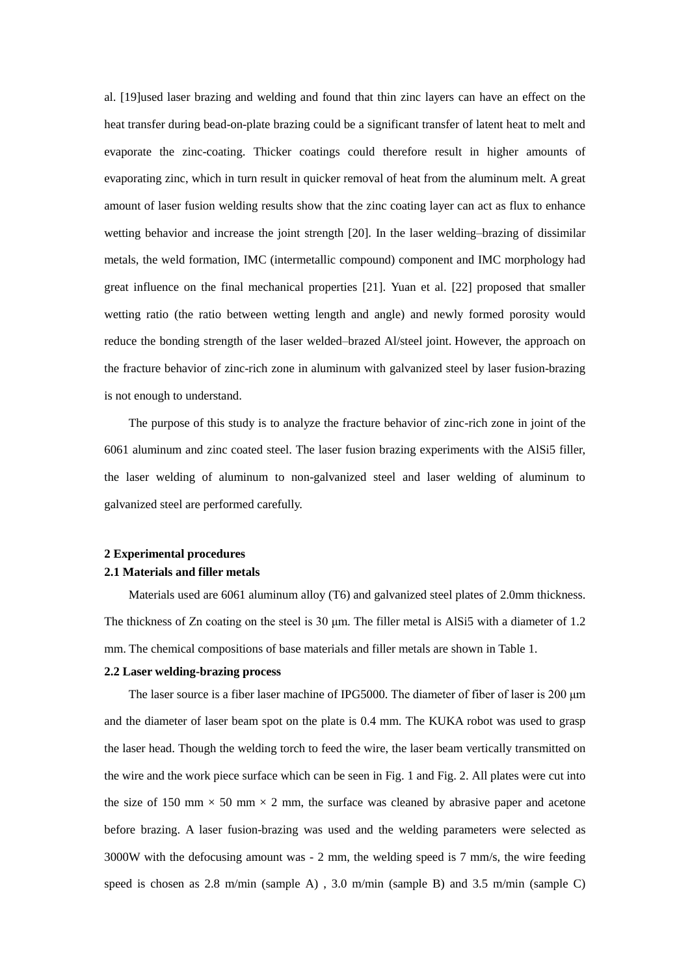al. [19]used laser brazing and welding and found that thin zinc layers can have an effect on the heat transfer during bead-on-plate brazing could be a significant transfer of latent heat to melt and evaporate the zinc-coating. Thicker coatings could therefore result in higher amounts of evaporating zinc, which in turn result in quicker removal of heat from the aluminum melt. A great amount of laser fusion welding results show that the zinc coating layer can act as flux to enhance wetting behavior and increase the joint strength [20]. In the laser welding–brazing of dissimilar metals, the weld formation, IMC (intermetallic compound) component and IMC morphology had great influence on the final mechanical properties [21]. Yuan et al. [22] proposed that smaller wetting ratio (the ratio between wetting length and angle) and newly formed porosity would reduce the bonding strength of the laser welded–brazed Al/steel joint. However, the approach on the fracture behavior of zinc-rich zone in aluminum with galvanized steel by laser fusion-brazing is not enough to understand.

The purpose of this study is to analyze the fracture behavior of zinc-rich zone in joint of the 6061 aluminum and zinc coated steel. The laser fusion brazing experiments with the AlSi5 filler, the laser welding of aluminum to non-galvanized steel and laser welding of aluminum to galvanized steel are performed carefully.

## **2 Experimental procedures 2.1 Materials and filler metals**

Materials used are 6061 aluminum alloy (T6) and galvanized steel plates of 2.0mm thickness. The thickness of Zn coating on the steel is 30 μm. The filler metal is AlSi5 with a diameter of 1.2 mm. The chemical compositions of base materials and filler metals are shown in Table 1.

#### **2.2 Laser welding-brazing process**

The laser source is a fiber laser machine of IPG5000. The diameter of fiber of laser is 200 μm and the diameter of laser beam spot on the plate is 0.4 mm. The KUKA robot was used to grasp the laser head. Though the welding torch to feed the wire, the laser beam vertically transmitted on the wire and the work piece surface which can be seen in Fig. 1 and Fig. 2. All plates were cut into the size of 150 mm  $\times$  50 mm  $\times$  2 mm, the surface was cleaned by abrasive paper and acetone before brazing. A laser fusion-brazing was used and the welding parameters were selected as 3000W with the defocusing amount was - 2 mm, the welding speed is 7 mm/s, the wire feeding speed is chosen as 2.8 m/min (sample A), 3.0 m/min (sample B) and 3.5 m/min (sample C)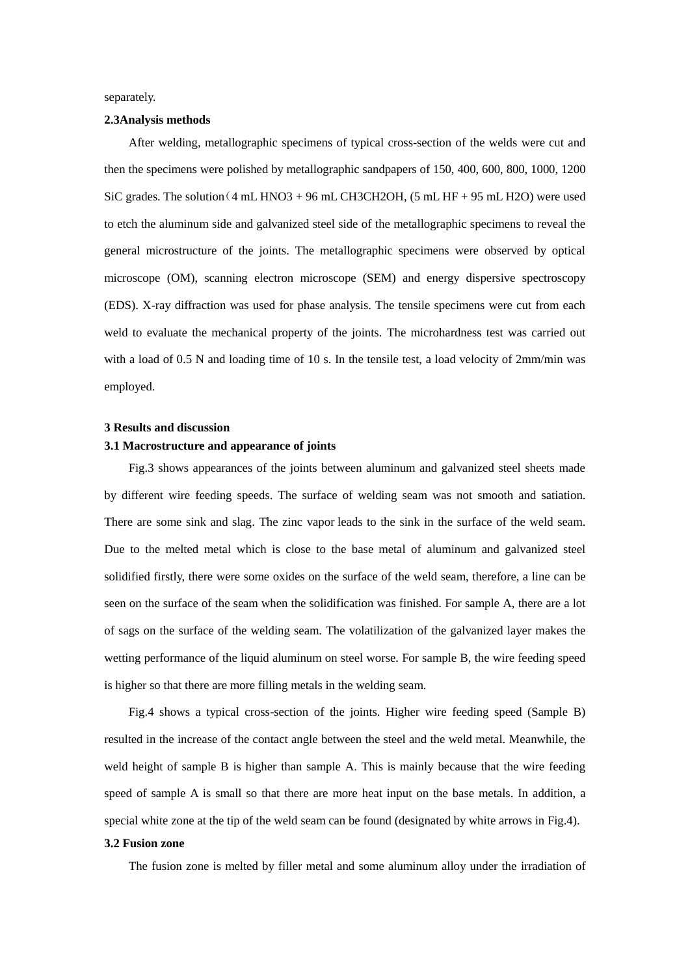separately.

## **2.3Analysis methods**

After welding, metallographic specimens of typical cross-section of the welds were cut and then the specimens were polished by metallographic sandpapers of 150, 400, 600, 800, 1000, 1200 SiC grades. The solution  $(4 \text{ mL HNO3} + 96 \text{ mL CH3CH2OH})$ ,  $(5 \text{ mL HF} + 95 \text{ mL H2O})$  were used to etch the aluminum side and galvanized steel side of the metallographic specimens to reveal the general microstructure of the joints. The metallographic specimens were observed by optical microscope (OM), scanning electron microscope (SEM) and energy dispersive spectroscopy (EDS). X-ray diffraction was used for phase analysis. The tensile specimens were cut from each weld to evaluate the mechanical property of the joints. The microhardness test was carried out with a load of 0.5 N and loading time of 10 s. In the tensile test, a load velocity of 2mm/min was employed.

## **3 Results and discussion**

## **3.1 Macrostructure and appearance of joints**

Fig.3 shows appearances of the joints between aluminum and galvanized steel sheets made by different wire feeding speeds. The surface of welding seam was not smooth and satiation. There are some sink and slag. The zinc vapor leads to the sink in the surface of the weld seam. Due to the melted metal which is close to the base metal of aluminum and galvanized steel solidified firstly, there were some oxides on the surface of the weld seam, therefore, a line can be seen on the surface of the seam when the solidification was finished. For sample A, there are a lot of sags on the surface of the welding seam. The volatilization of the galvanized layer makes the wetting performance of the liquid aluminum on steel worse. For sample B, the wire feeding speed is higher so that there are more filling metals in the welding seam.

Fig.4 shows a typical cross-section of the joints. Higher wire feeding speed (Sample B) resulted in the increase of the contact angle between the steel and the weld metal. Meanwhile, the weld height of sample B is higher than sample A. This is mainly because that the wire feeding speed of sample A is small so that there are more heat input on the base metals. In addition, a special white zone at the tip of the weld seam can be found (designated by white arrows in Fig.4).

## **3.2 Fusion zone**

The fusion zone is melted by filler metal and some aluminum alloy under the irradiation of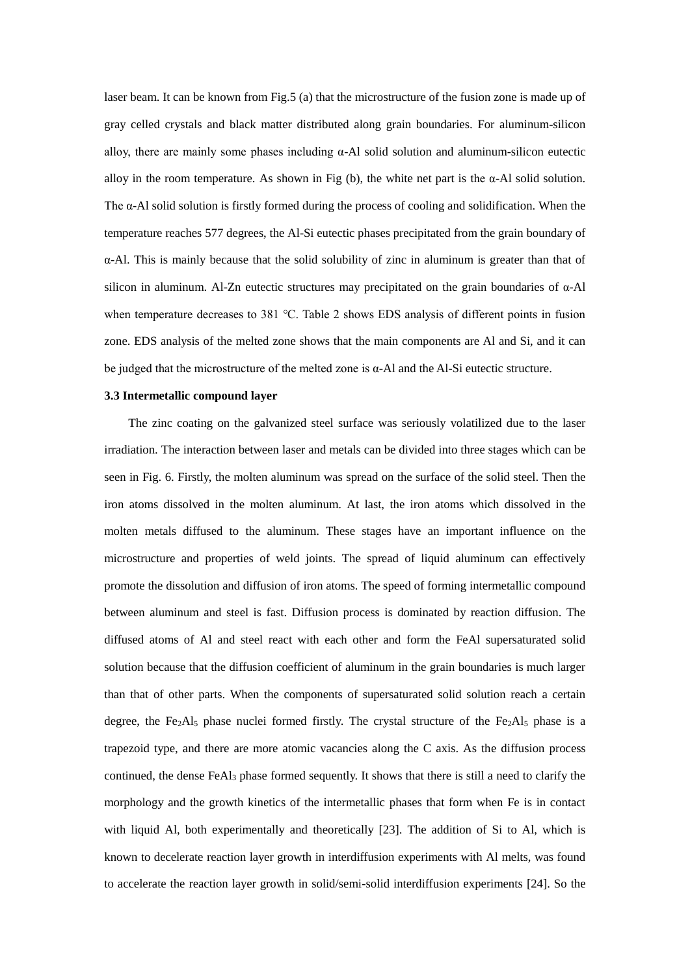laser beam. It can be known from Fig.5 (a) that the microstructure of the fusion zone is made up of gray celled crystals and black matter distributed along grain boundaries. For aluminum-silicon alloy, there are mainly some phases including  $\alpha$ -Al solid solution and aluminum-silicon eutectic alloy in the room temperature. As shown in Fig (b), the white net part is the  $\alpha$ -Al solid solution. The  $\alpha$ -Al solid solution is firstly formed during the process of cooling and solidification. When the temperature reaches 577 degrees, the Al-Si eutectic phases precipitated from the grain boundary of α-Al. This is mainly because that the solid solubility of zinc in aluminum is greater than that of silicon in aluminum. Al-Zn eutectic structures may precipitated on the grain boundaries of α-Al when temperature decreases to 381 ℃. Table 2 shows EDS analysis of different points in fusion zone. EDS analysis of the melted zone shows that the main components are Al and Si, and it can be judged that the microstructure of the melted zone is α-Al and the Al-Si eutectic structure.

#### **3.3 Intermetallic compound layer**

The zinc coating on the galvanized steel surface was seriously volatilized due to the laser irradiation. The interaction between laser and metals can be divided into three stages which can be seen in Fig. 6. Firstly, the molten aluminum was spread on the surface of the solid steel. Then the iron atoms dissolved in the molten aluminum. At last, the iron atoms which dissolved in the molten metals diffused to the aluminum. These stages have an important influence on the microstructure and properties of weld joints. The spread of liquid aluminum can effectively promote the dissolution and diffusion of iron atoms. The speed of forming intermetallic compound between aluminum and steel is fast. Diffusion process is dominated by reaction diffusion. The diffused atoms of Al and steel react with each other and form the FeAl supersaturated solid solution because that the diffusion coefficient of aluminum in the grain boundaries is much larger than that of other parts. When the components of supersaturated solid solution reach a certain degree, the Fe<sub>2</sub>Al<sub>5</sub> phase nuclei formed firstly. The crystal structure of the Fe<sub>2</sub>Al<sub>5</sub> phase is a trapezoid type, and there are more atomic vacancies along the C axis. As the diffusion process continued, the dense FeAl<sup>3</sup> phase formed sequently. It shows that there is still a need to clarify the morphology and the growth kinetics of the intermetallic phases that form when Fe is in contact with liquid Al, both experimentally and theoretically [23]. The addition of Si to Al, which is known to decelerate reaction layer growth in interdiffusion experiments with Al melts, was found to accelerate the reaction layer growth in solid/semi-solid interdiffusion experiments [24]. So the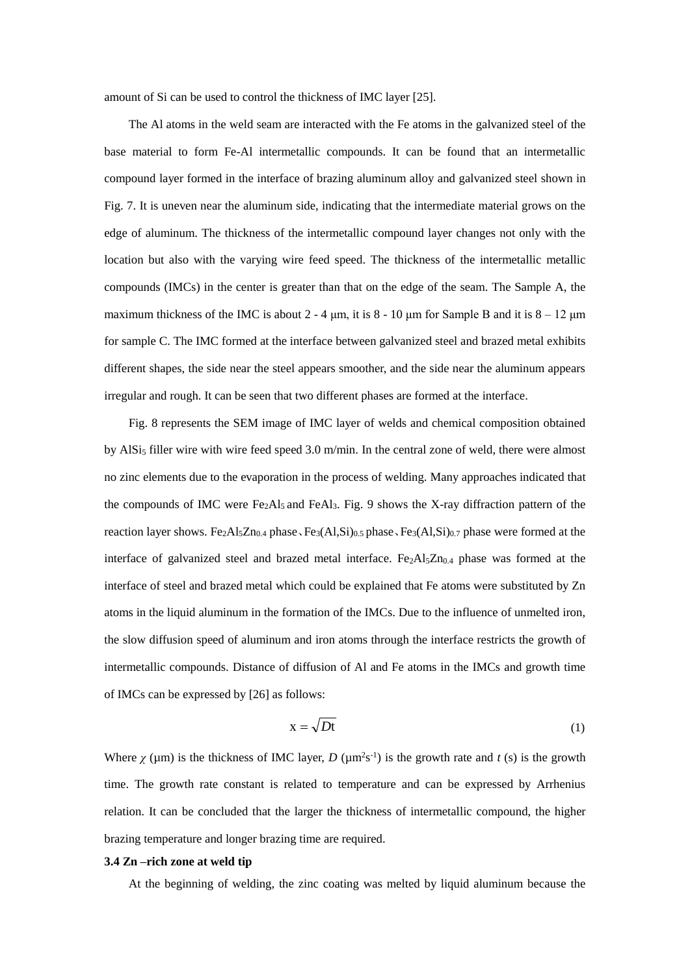amount of Si can be used to control the thickness of IMC layer [25].

The Al atoms in the weld seam are interacted with the Fe atoms in the galvanized steel of the base material to form Fe-Al intermetallic compounds. It can be found that an intermetallic compound layer formed in the interface of brazing aluminum alloy and galvanized steel shown in Fig. 7. It is uneven near the aluminum side, indicating that the intermediate material grows on the edge of aluminum. The thickness of the intermetallic compound layer changes not only with the location but also with the varying wire feed speed. The thickness of the intermetallic metallic compounds (IMCs) in the center is greater than that on the edge of the seam. The Sample A, the maximum thickness of the IMC is about  $2 - 4 \mu m$ , it is  $8 - 10 \mu m$  for Sample B and it is  $8 - 12 \mu m$ for sample C. The IMC formed at the interface between galvanized steel and brazed metal exhibits different shapes, the side near the steel appears smoother, and the side near the aluminum appears irregular and rough. It can be seen that two different phases are formed at the interface.

Fig. 8 represents the SEM image of IMC layer of welds and chemical composition obtained by AlSi<sub>5</sub> filler wire with wire feed speed 3.0 m/min. In the central zone of weld, there were almost no zinc elements due to the evaporation in the process of welding. Many approaches indicated that the compounds of IMC were Fe<sub>2</sub>Al<sub>5</sub> and FeAl<sub>3</sub>. Fig. 9 shows the X-ray diffraction pattern of the reaction layer shows. Fe<sub>2</sub>Al<sub>5</sub>Zn<sub>0.4</sub> phase、Fe<sub>3</sub>(Al,Si)<sub>0.5</sub> phase、Fe<sub>3</sub>(Al,Si)<sub>0.7</sub> phase were formed at the interface of galvanized steel and brazed metal interface.  $Fe<sub>2</sub>Al<sub>5</sub>Zn<sub>0.4</sub>$  phase was formed at the interface of steel and brazed metal which could be explained that Fe atoms were substituted by Zn atoms in the liquid aluminum in the formation of the IMCs. Due to the influence of unmelted iron, the slow diffusion speed of aluminum and iron atoms through the interface restricts the growth of intermetallic compounds. Distance of diffusion of Al and Fe atoms in the IMCs and growth time of IMCs can be expressed by [26] as follows:

$$
x = \sqrt{Dt} \tag{1}
$$

Where  $\chi$  ( $\mu$ m) is the thickness of IMC layer, *D* ( $\mu$ m<sup>2</sup>s<sup>-1</sup>) is the growth rate and *t* (s) is the growth time. The growth rate constant is related to temperature and can be expressed by Arrhenius relation. It can be concluded that the larger the thickness of intermetallic compound, the higher brazing temperature and longer brazing time are required.

#### **3.4 Zn –rich zone at weld tip**

At the beginning of welding, the zinc coating was melted by liquid aluminum because the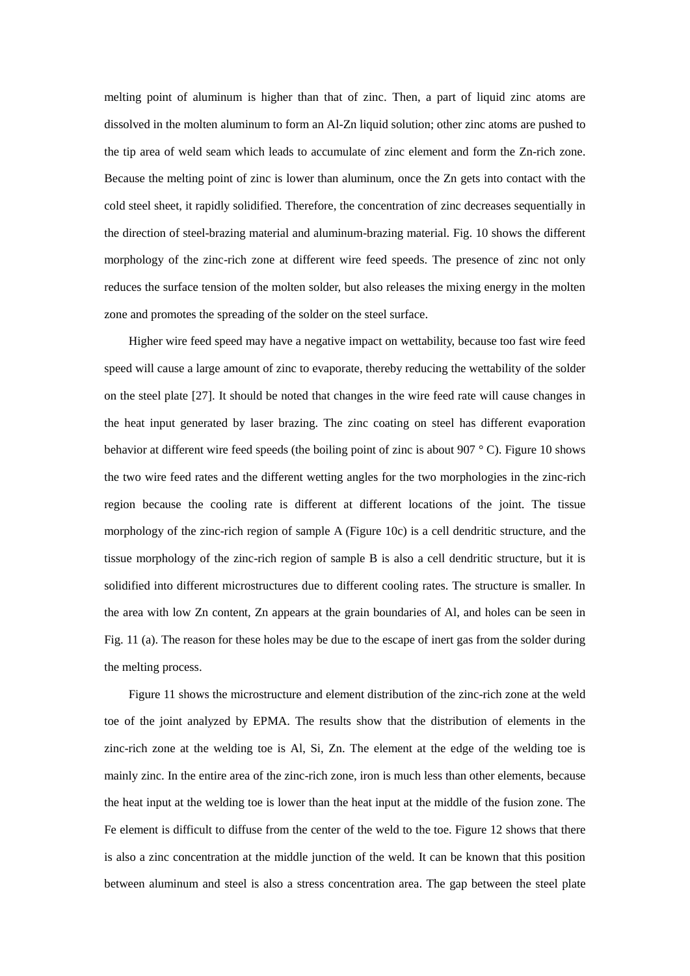melting point of aluminum is higher than that of zinc. Then, a part of liquid zinc atoms are dissolved in the molten aluminum to form an Al-Zn liquid solution; other zinc atoms are pushed to the tip area of weld seam which leads to accumulate of zinc element and form the Zn-rich zone. Because the melting point of zinc is lower than aluminum, once the Zn gets into contact with the cold steel sheet, it rapidly solidified. Therefore, the concentration of zinc decreases sequentially in the direction of steel-brazing material and aluminum-brazing material. Fig. 10 shows the different morphology of the zinc-rich zone at different wire feed speeds. The presence of zinc not only reduces the surface tension of the molten solder, but also releases the mixing energy in the molten zone and promotes the spreading of the solder on the steel surface.

Higher wire feed speed may have a negative impact on wettability, because too fast wire feed speed will cause a large amount of zinc to evaporate, thereby reducing the wettability of the solder on the steel plate [27]. It should be noted that changes in the wire feed rate will cause changes in the heat input generated by laser brazing. The zinc coating on steel has different evaporation behavior at different wire feed speeds (the boiling point of zinc is about 907 °C). Figure 10 shows the two wire feed rates and the different wetting angles for the two morphologies in the zinc-rich region because the cooling rate is different at different locations of the joint. The tissue morphology of the zinc-rich region of sample A (Figure 10c) is a cell dendritic structure, and the tissue morphology of the zinc-rich region of sample B is also a cell dendritic structure, but it is solidified into different microstructures due to different cooling rates. The structure is smaller. In the area with low Zn content, Zn appears at the grain boundaries of Al, and holes can be seen in Fig. 11 (a). The reason for these holes may be due to the escape of inert gas from the solder during the melting process.

Figure 11 shows the microstructure and element distribution of the zinc-rich zone at the weld toe of the joint analyzed by EPMA. The results show that the distribution of elements in the zinc-rich zone at the welding toe is Al, Si, Zn. The element at the edge of the welding toe is mainly zinc. In the entire area of the zinc-rich zone, iron is much less than other elements, because the heat input at the welding toe is lower than the heat input at the middle of the fusion zone. The Fe element is difficult to diffuse from the center of the weld to the toe. Figure 12 shows that there is also a zinc concentration at the middle junction of the weld. It can be known that this position between aluminum and steel is also a stress concentration area. The gap between the steel plate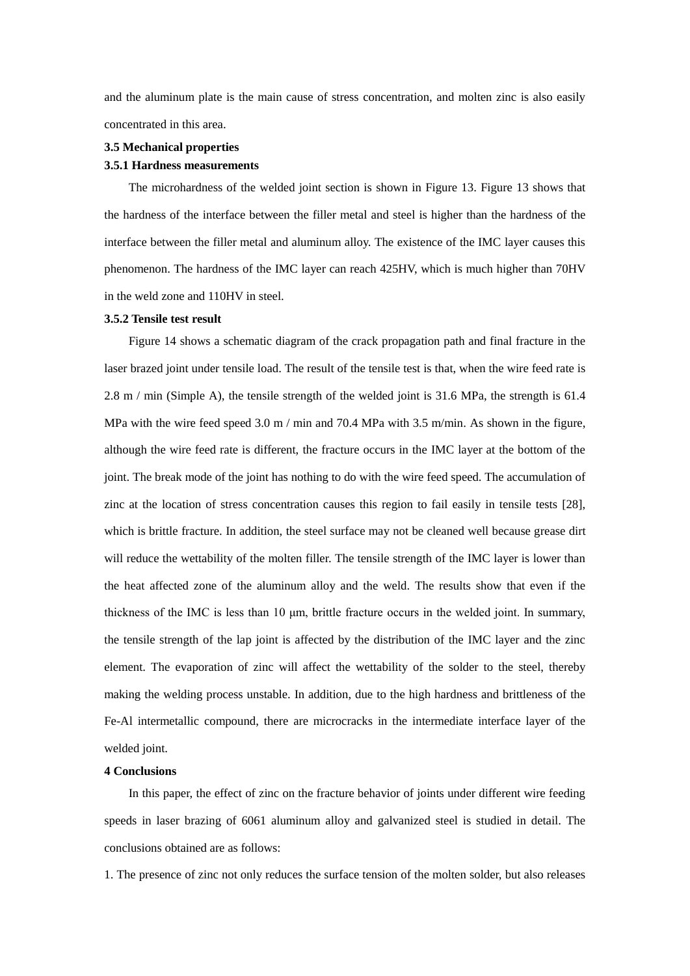and the aluminum plate is the main cause of stress concentration, and molten zinc is also easily concentrated in this area.

# **3.5 Mechanical properties 3.5.1 Hardness measurements**

The microhardness of the welded joint section is shown in Figure 13. Figure 13 shows that the hardness of the interface between the filler metal and steel is higher than the hardness of the interface between the filler metal and aluminum alloy. The existence of the IMC layer causes this phenomenon. The hardness of the IMC layer can reach 425HV, which is much higher than 70HV in the weld zone and 110HV in steel.

#### **3.5.2 Tensile test result**

Figure 14 shows a schematic diagram of the crack propagation path and final fracture in the laser brazed joint under tensile load. The result of the tensile test is that, when the wire feed rate is 2.8 m / min (Simple A), the tensile strength of the welded joint is 31.6 MPa, the strength is 61.4 MPa with the wire feed speed 3.0 m / min and 70.4 MPa with 3.5 m/min. As shown in the figure, although the wire feed rate is different, the fracture occurs in the IMC layer at the bottom of the joint. The break mode of the joint has nothing to do with the wire feed speed. The accumulation of zinc at the location of stress concentration causes this region to fail easily in tensile tests [28], which is brittle fracture. In addition, the steel surface may not be cleaned well because grease dirt will reduce the wettability of the molten filler. The tensile strength of the IMC layer is lower than the heat affected zone of the aluminum alloy and the weld. The results show that even if the thickness of the IMC is less than 10 μm, brittle fracture occurs in the welded joint. In summary, the tensile strength of the lap joint is affected by the distribution of the IMC layer and the zinc element. The evaporation of zinc will affect the wettability of the solder to the steel, thereby making the welding process unstable. In addition, due to the high hardness and brittleness of the Fe-Al intermetallic compound, there are microcracks in the intermediate interface layer of the welded joint.

#### **4 Conclusions**

In this paper, the effect of zinc on the fracture behavior of joints under different wire feeding speeds in laser brazing of 6061 aluminum alloy and galvanized steel is studied in detail. The conclusions obtained are as follows:

1. The presence of zinc not only reduces the surface tension of the molten solder, but also releases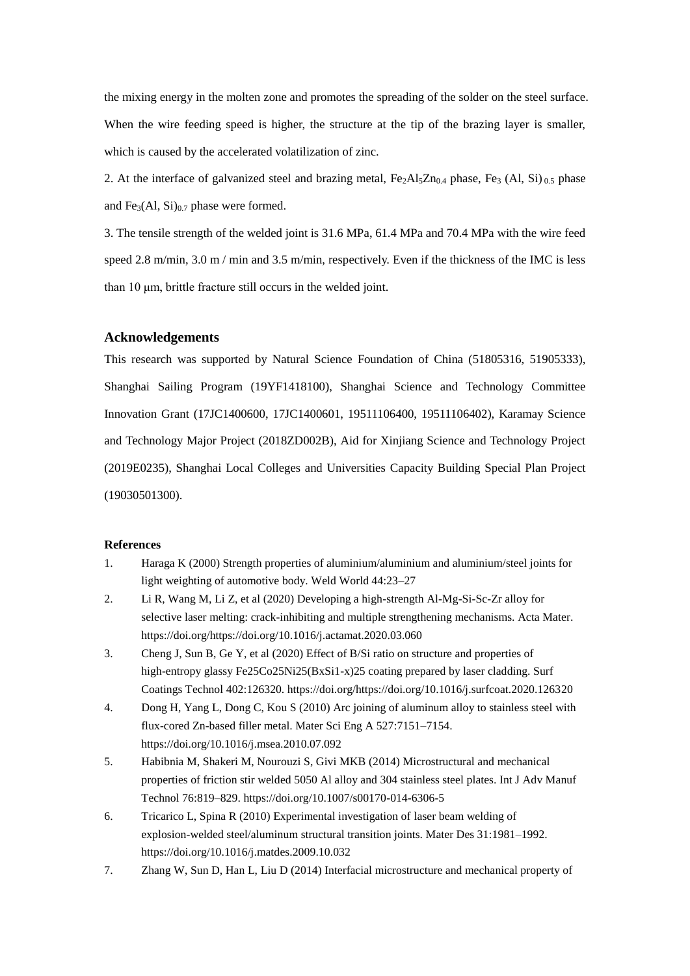the mixing energy in the molten zone and promotes the spreading of the solder on the steel surface. When the wire feeding speed is higher, the structure at the tip of the brazing layer is smaller, which is caused by the accelerated volatilization of zinc.

2. At the interface of galvanized steel and brazing metal,  $Fe_2Al_5Zn_{0.4}$  phase,  $Fe_3$  (Al, Si)  $_0$  5 phase and  $Fe<sub>3</sub>(Al, Si)<sub>0.7</sub> phase were formed.$ 

3. The tensile strength of the welded joint is 31.6 MPa, 61.4 MPa and 70.4 MPa with the wire feed speed 2.8 m/min, 3.0 m / min and 3.5 m/min, respectively. Even if the thickness of the IMC is less than 10 μm, brittle fracture still occurs in the welded joint.

## **Acknowledgements**

This research was supported by Natural Science Foundation of China (51805316, 51905333), Shanghai Sailing Program (19YF1418100), Shanghai Science and Technology Committee Innovation Grant (17JC1400600, 17JC1400601, 19511106400, 19511106402), Karamay Science and Technology Major Project (2018ZD002B), Aid for Xinjiang Science and Technology Project (2019E0235), Shanghai Local Colleges and Universities Capacity Building Special Plan Project (19030501300).

#### **References**

- 1. Haraga K (2000) Strength properties of aluminium/aluminium and aluminium/steel joints for light weighting of automotive body. Weld World 44:23–27
- 2. Li R, Wang M, Li Z, et al (2020) Developing a high-strength Al-Mg-Si-Sc-Zr alloy for selective laser melting: crack-inhibiting and multiple strengthening mechanisms. Acta Mater. https://doi.org/https://doi.org/10.1016/j.actamat.2020.03.060
- 3. Cheng J, Sun B, Ge Y, et al (2020) Effect of B/Si ratio on structure and properties of high-entropy glassy Fe25Co25Ni25(BxSi1-x)25 coating prepared by laser cladding. Surf Coatings Technol 402:126320. https://doi.org/https://doi.org/10.1016/j.surfcoat.2020.126320
- 4. Dong H, Yang L, Dong C, Kou S (2010) Arc joining of aluminum alloy to stainless steel with flux-cored Zn-based filler metal. Mater Sci Eng A 527:7151–7154. https://doi.org/10.1016/j.msea.2010.07.092
- 5. Habibnia M, Shakeri M, Nourouzi S, Givi MKB (2014) Microstructural and mechanical properties of friction stir welded 5050 Al alloy and 304 stainless steel plates. Int J Adv Manuf Technol 76:819–829. https://doi.org/10.1007/s00170-014-6306-5
- 6. Tricarico L, Spina R (2010) Experimental investigation of laser beam welding of explosion-welded steel/aluminum structural transition joints. Mater Des 31:1981–1992. https://doi.org/10.1016/j.matdes.2009.10.032
- 7. Zhang W, Sun D, Han L, Liu D (2014) Interfacial microstructure and mechanical property of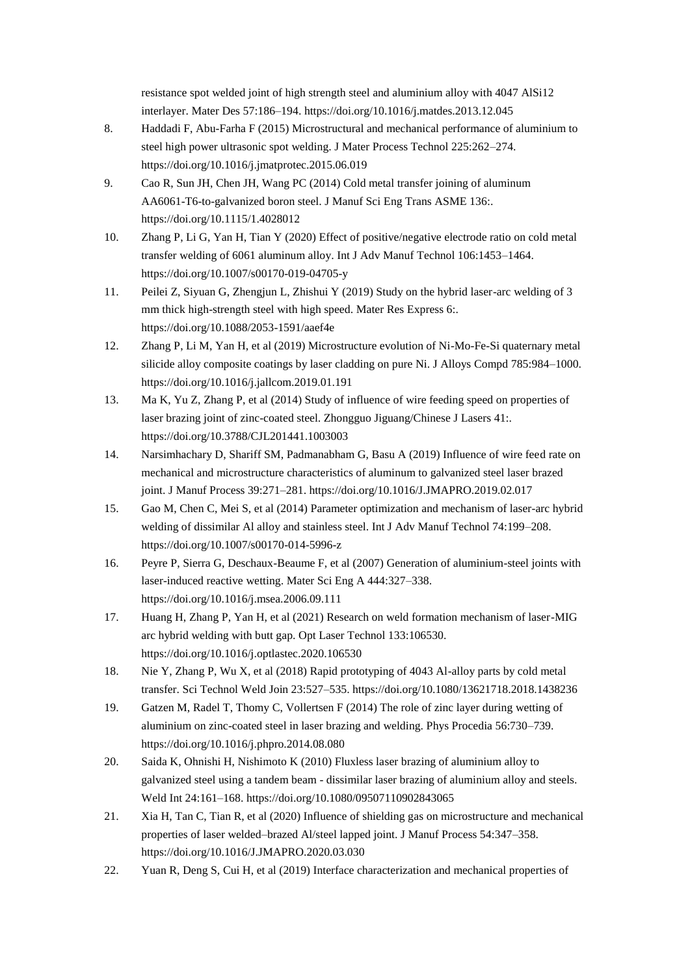resistance spot welded joint of high strength steel and aluminium alloy with 4047 AlSi12 interlayer. Mater Des 57:186–194. https://doi.org/10.1016/j.matdes.2013.12.045

- 8. Haddadi F, Abu-Farha F (2015) Microstructural and mechanical performance of aluminium to steel high power ultrasonic spot welding. J Mater Process Technol 225:262–274. https://doi.org/10.1016/j.jmatprotec.2015.06.019
- 9. Cao R, Sun JH, Chen JH, Wang PC (2014) Cold metal transfer joining of aluminum AA6061-T6-to-galvanized boron steel. J Manuf Sci Eng Trans ASME 136:. https://doi.org/10.1115/1.4028012
- 10. Zhang P, Li G, Yan H, Tian Y (2020) Effect of positive/negative electrode ratio on cold metal transfer welding of 6061 aluminum alloy. Int J Adv Manuf Technol 106:1453–1464. https://doi.org/10.1007/s00170-019-04705-y
- 11. Peilei Z, Siyuan G, Zhengjun L, Zhishui Y (2019) Study on the hybrid laser-arc welding of 3 mm thick high-strength steel with high speed. Mater Res Express 6:. https://doi.org/10.1088/2053-1591/aaef4e
- 12. Zhang P, Li M, Yan H, et al (2019) Microstructure evolution of Ni-Mo-Fe-Si quaternary metal silicide alloy composite coatings by laser cladding on pure Ni. J Alloys Compd 785:984–1000. https://doi.org/10.1016/j.jallcom.2019.01.191
- 13. Ma K, Yu Z, Zhang P, et al (2014) Study of influence of wire feeding speed on properties of laser brazing joint of zinc-coated steel. Zhongguo Jiguang/Chinese J Lasers 41:. https://doi.org/10.3788/CJL201441.1003003
- 14. Narsimhachary D, Shariff SM, Padmanabham G, Basu A (2019) Influence of wire feed rate on mechanical and microstructure characteristics of aluminum to galvanized steel laser brazed joint. J Manuf Process 39:271–281. https://doi.org/10.1016/J.JMAPRO.2019.02.017
- 15. Gao M, Chen C, Mei S, et al (2014) Parameter optimization and mechanism of laser-arc hybrid welding of dissimilar Al alloy and stainless steel. Int J Adv Manuf Technol 74:199–208. https://doi.org/10.1007/s00170-014-5996-z
- 16. Peyre P, Sierra G, Deschaux-Beaume F, et al (2007) Generation of aluminium-steel joints with laser-induced reactive wetting. Mater Sci Eng A 444:327–338. https://doi.org/10.1016/j.msea.2006.09.111
- 17. Huang H, Zhang P, Yan H, et al (2021) Research on weld formation mechanism of laser-MIG arc hybrid welding with butt gap. Opt Laser Technol 133:106530. https://doi.org/10.1016/j.optlastec.2020.106530
- 18. Nie Y, Zhang P, Wu X, et al (2018) Rapid prototyping of 4043 Al-alloy parts by cold metal transfer. Sci Technol Weld Join 23:527–535. https://doi.org/10.1080/13621718.2018.1438236
- 19. Gatzen M, Radel T, Thomy C, Vollertsen F (2014) The role of zinc layer during wetting of aluminium on zinc-coated steel in laser brazing and welding. Phys Procedia 56:730–739. https://doi.org/10.1016/j.phpro.2014.08.080
- 20. Saida K, Ohnishi H, Nishimoto K (2010) Fluxless laser brazing of aluminium alloy to galvanized steel using a tandem beam - dissimilar laser brazing of aluminium alloy and steels. Weld Int 24:161–168. https://doi.org/10.1080/09507110902843065
- 21. Xia H, Tan C, Tian R, et al (2020) Influence of shielding gas on microstructure and mechanical properties of laser welded–brazed Al/steel lapped joint. J Manuf Process 54:347–358. https://doi.org/10.1016/J.JMAPRO.2020.03.030
- 22. Yuan R, Deng S, Cui H, et al (2019) Interface characterization and mechanical properties of